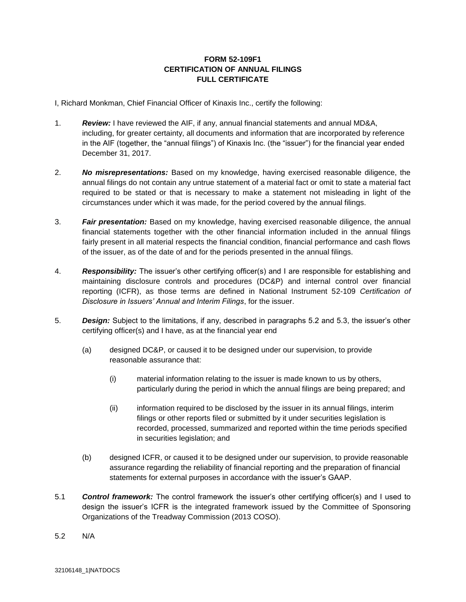## **FORM 52-109F1 CERTIFICATION OF ANNUAL FILINGS FULL CERTIFICATE**

I, Richard Monkman, Chief Financial Officer of Kinaxis Inc., certify the following:

- 1. *Review:* I have reviewed the AIF, if any, annual financial statements and annual MD&A, including, for greater certainty, all documents and information that are incorporated by reference in the AIF (together, the "annual filings") of Kinaxis Inc. (the "issuer") for the financial year ended December 31, 2017.
- 2. *No misrepresentations:* Based on my knowledge, having exercised reasonable diligence, the annual filings do not contain any untrue statement of a material fact or omit to state a material fact required to be stated or that is necessary to make a statement not misleading in light of the circumstances under which it was made, for the period covered by the annual filings.
- 3. *Fair presentation:* Based on my knowledge, having exercised reasonable diligence, the annual financial statements together with the other financial information included in the annual filings fairly present in all material respects the financial condition, financial performance and cash flows of the issuer, as of the date of and for the periods presented in the annual filings.
- 4. *Responsibility:* The issuer's other certifying officer(s) and I are responsible for establishing and maintaining disclosure controls and procedures (DC&P) and internal control over financial reporting (ICFR), as those terms are defined in National Instrument 52-109 *Certification of Disclosure in Issuers' Annual and Interim Filings*, for the issuer.
- 5. *Design:* Subject to the limitations, if any, described in paragraphs 5.2 and 5.3, the issuer's other certifying officer(s) and I have, as at the financial year end
	- (a) designed DC&P, or caused it to be designed under our supervision, to provide reasonable assurance that:
		- (i) material information relating to the issuer is made known to us by others, particularly during the period in which the annual filings are being prepared; and
		- (ii) information required to be disclosed by the issuer in its annual filings, interim filings or other reports filed or submitted by it under securities legislation is recorded, processed, summarized and reported within the time periods specified in securities legislation; and
	- (b) designed ICFR, or caused it to be designed under our supervision, to provide reasonable assurance regarding the reliability of financial reporting and the preparation of financial statements for external purposes in accordance with the issuer's GAAP.
- 5.1 *Control framework:* The control framework the issuer's other certifying officer(s) and I used to design the issuer's ICFR is the integrated framework issued by the Committee of Sponsoring Organizations of the Treadway Commission (2013 COSO).
- 5.2 N/A